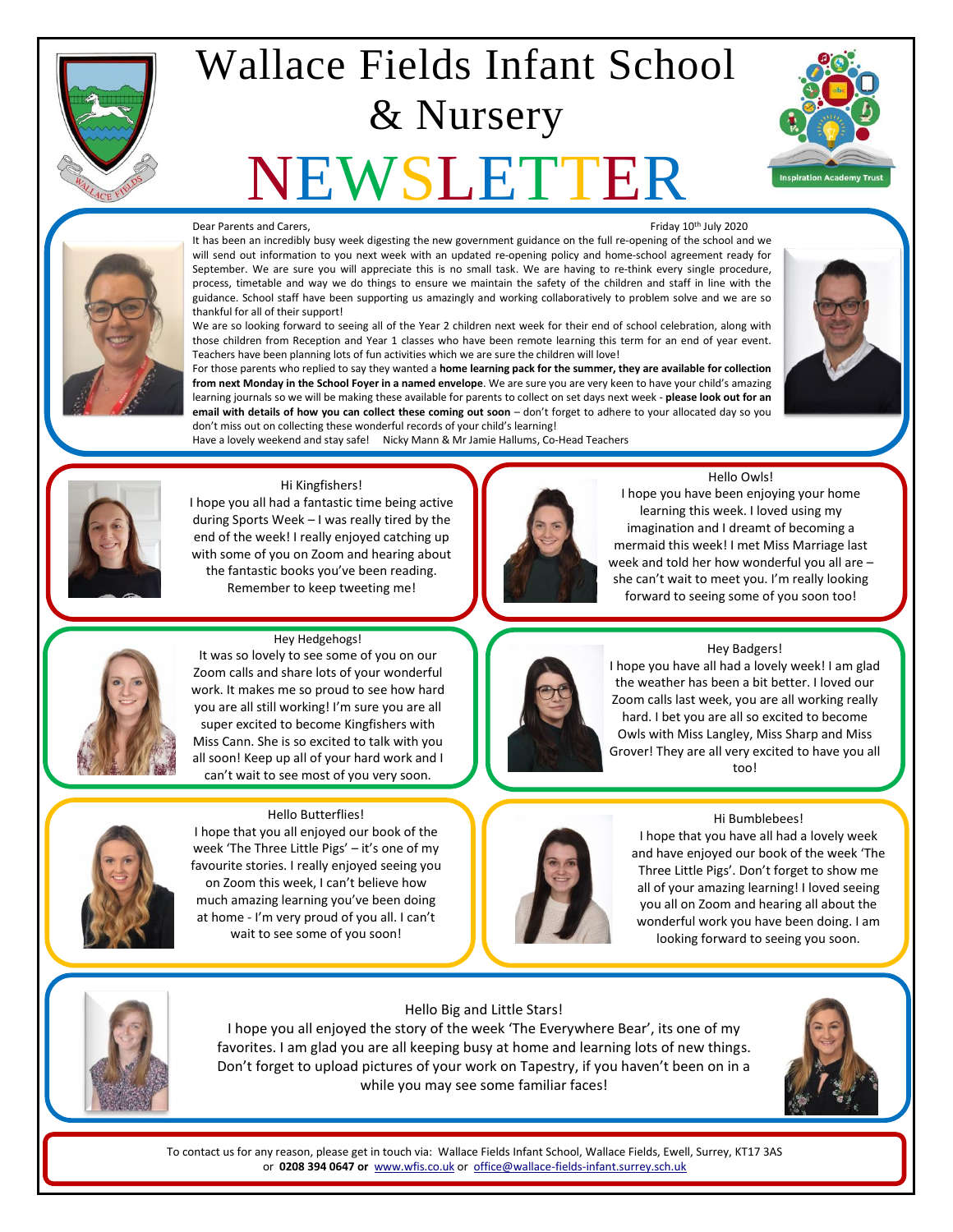

# Wallace Fields Infant School & Nursery

# **EWSLET**



### Dear Parents and Carers, The Carers of Carers and Carers, Friday 10<sup>th</sup> July 2020

It has been an incredibly busy week digesting the new government guidance on the full re-opening of the school and we will send out information to you next week with an updated re-opening policy and home-school agreement ready for September. We are sure you will appreciate this is no small task. We are having to re-think every single procedure, process, timetable and way we do things to ensure we maintain the safety of the children and staff in line with the guidance. School staff have been supporting us amazingly and working collaboratively to problem solve and we are so thankful for all of their support!

We are so looking forward to seeing all of the Year 2 children next week for their end of school celebration, along with those children from Reception and Year 1 classes who have been remote learning this term for an end of year event. Teachers have been planning lots of fun activities which we are sure the children will love!

For those parents who replied to say they wanted a **home learning pack for the summer, they are available for collection from next Monday in the School Foyer in a named envelope**. We are sure you are very keen to have your child's amazing learning journals so we will be making these available for parents to collect on set days next week - **please look out for an email with details of how you can collect these coming out soon** – don't forget to adhere to your allocated day so you don't miss out on collecting these wonderful records of your child's learning!

Have a lovely weekend and stay safe! Nicky Mann & Mr Jamie Hallums, Co-Head Teachers





#### Hi Kingfishers!

I hope you all had a fantastic time being active during Sports Week – I was really tired by the end of the week! I really enjoyed catching up with some of you on Zoom and hearing about the fantastic books you've been reading. Remember to keep tweeting me!



Hello Owls!

I hope you have been enjoying your home learning this week. I loved using my imagination and I dreamt of becoming a mermaid this week! I met Miss Marriage last week and told her how wonderful you all are – she can't wait to meet you. I'm really looking forward to seeing some of you soon too!



#### Hey Hedgehogs!

It was so lovely to see some of you on our Zoom calls and share lots of your wonderful work. It makes me so proud to see how hard you are all still working! I'm sure you are all super excited to become Kingfishers with Miss Cann. She is so excited to talk with you all soon! Keep up all of your hard work and I can't wait to see most of you very soon.



#### Hello Butterflies!

I hope that you all enjoyed our book of the week 'The Three Little Pigs' – it's one of my favourite stories. I really enjoyed seeing you on Zoom this week, I can't believe how much amazing learning you've been doing at home - I'm very proud of you all. I can't wait to see some of you soon!



Hey Badgers!

I hope you have all had a lovely week! I am glad the weather has been a bit better. I loved our Zoom calls last week, you are all working really hard. I bet you are all so excited to become Owls with Miss Langley, Miss Sharp and Miss Grover! They are all very excited to have you all too!







#### Hello Big and Little Stars!

I hope you all enjoyed the story of the week 'The Everywhere Bear', its one of my favorites. I am glad you are all keeping busy at home and learning lots of new things. Don't forget to upload pictures of your work on Tapestry, if you haven't been on in a while you may see some familiar faces!

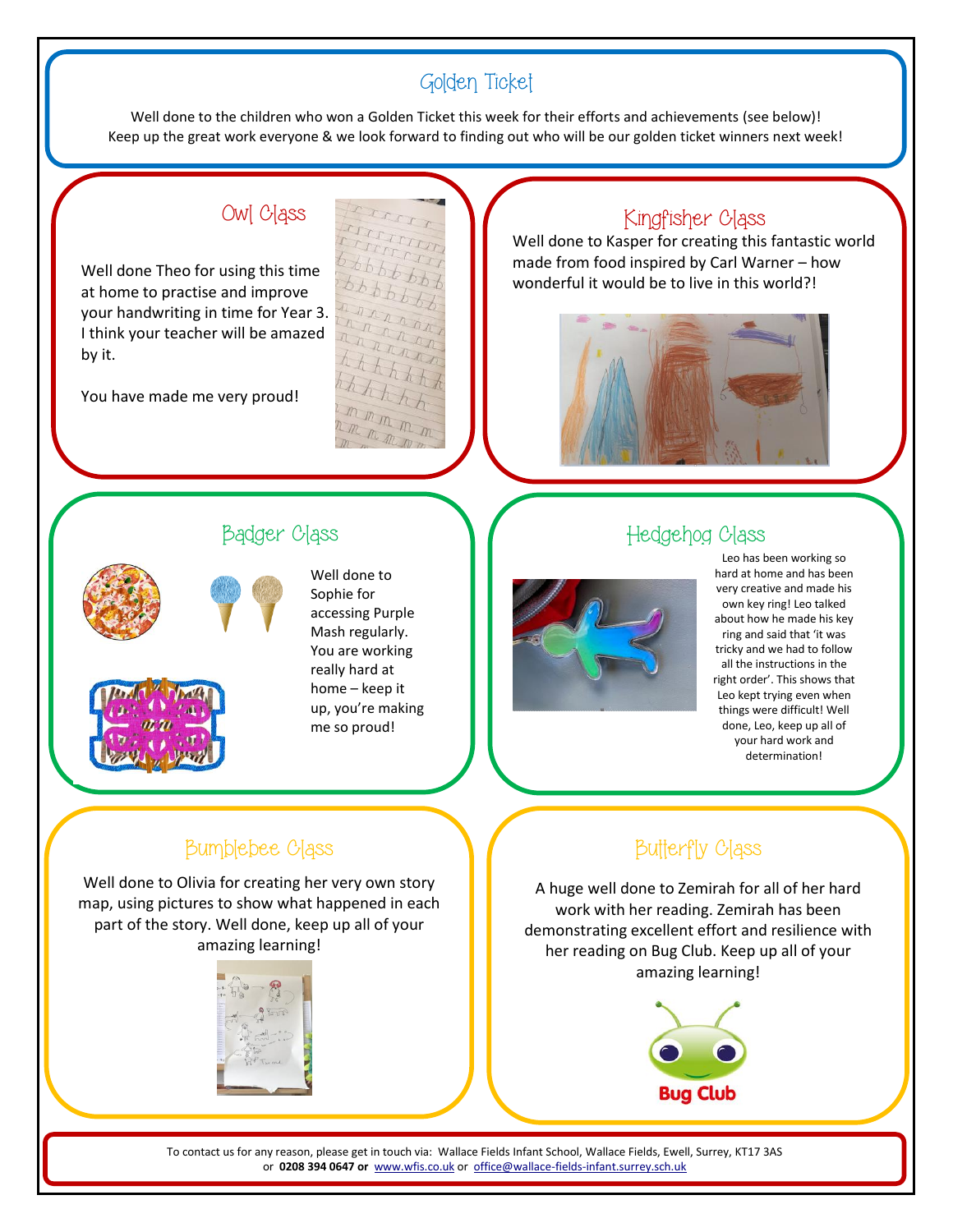# Golden Ticket

Well done to the children who won a Golden Ticket this week for their efforts and achievements (see below)! Keep up the great work everyone & we look forward to finding out who will be our golden ticket winners next week!

# Owl Class

Well done Theo for using this time at home to practise and improve your handwriting in time for Year 3. I think your teacher will be amazed by it.

You have made me very proud!



## Kingfisher Class

Well done to Kasper for creating this fantastic world made from food inspired by Carl Warner – how wonderful it would be to live in this world?!





### Well done to Sophie for accessing Purple Mash regularly. You are working really hard at home – keep it up, you're making me so proud!

# Badger Class North Hedgehog Class



Leo has been working so hard at home and has been very creative and made his own key ring! Leo talked about how he made his key ring and said that 'it was tricky and we had to follow all the instructions in the right order'. This shows that Leo kept trying even when things were difficult! Well done, Leo, keep up all of your hard work and determination!

# Bumblebee Class

Well done to Olivia for creating her very own story map, using pictures to show what happened in each part of the story. Well done, keep up all of your amazing learning!

# **Butterfly Class**

A huge well done to Zemirah for all of her hard work with her reading. Zemirah has been demonstrating excellent effort and resilience with her reading on Bug Club. Keep up all of your amazing learning!

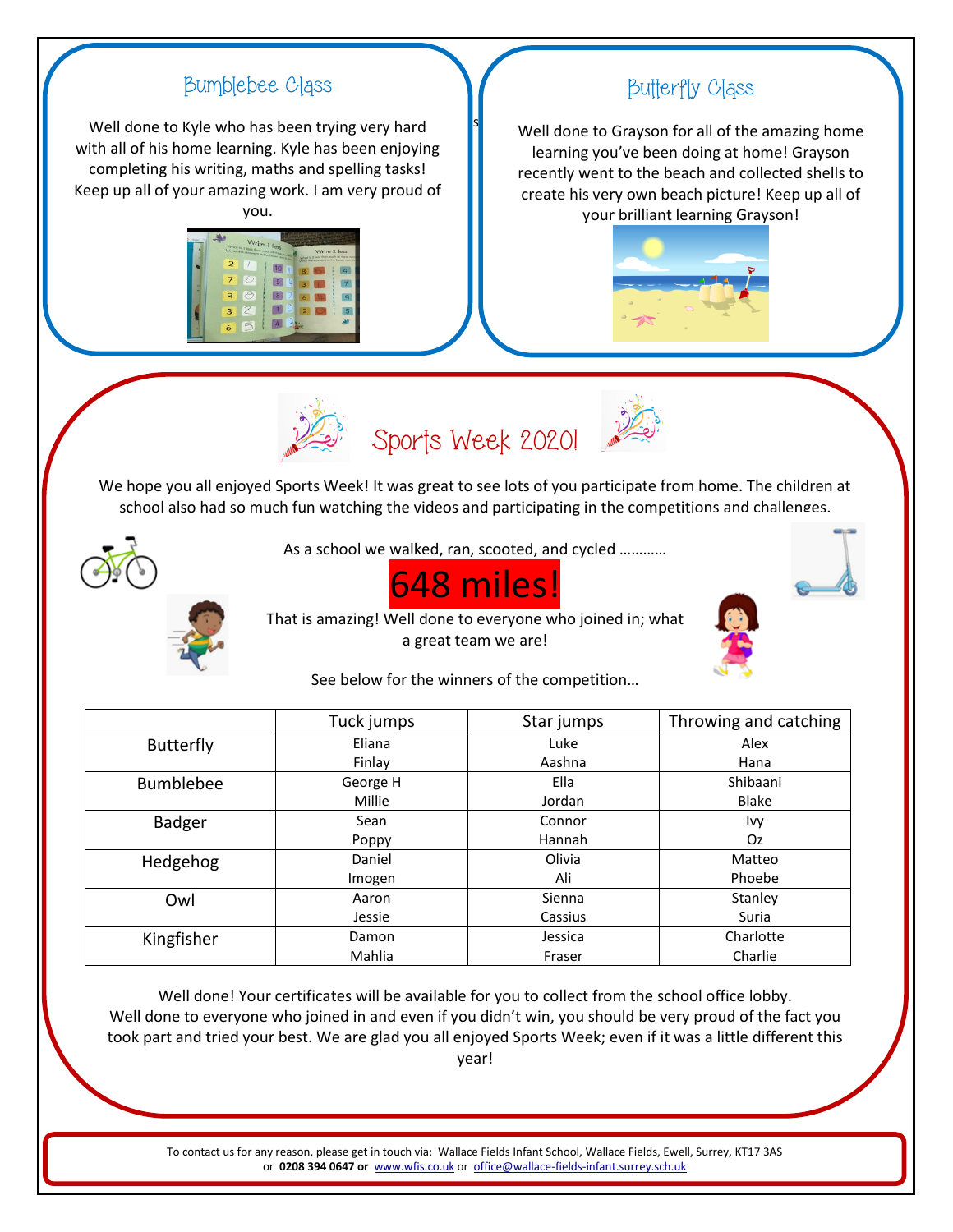# s Sports Week 2020! We hope you all enjoyed Sports Week! It was great to see lots of you participate from home. The children at school also had so much fun watching the videos and participating in the competitions and challenges. As a school we walked, ran, scooted, and cycled ………… 648 miles! That is amazing! Well done to everyone who joined in; what a great team we are! Bumblebee Class Well done to Kyle who has been trying very hard with all of his home learning. Kyle has been enjoying completing his writing, maths and spelling tasks! Keep up all of your amazing work. I am very proud of you. Butterfly Class Well done to Grayson for all of the amazing home learning you've been doing at home! Grayson recently went to the beach and collected shells to create his very own beach picture! Keep up all of your brilliant learning Grayson!

See below for the winners of the competition…

|                  | Tuck jumps | Star jumps | Throwing and catching |
|------------------|------------|------------|-----------------------|
| <b>Butterfly</b> | Eliana     | Luke       | Alex                  |
|                  | Finlay     | Aashna     | Hana                  |
| <b>Bumblebee</b> | George H   | Ella       | Shibaani              |
|                  | Millie     | Jordan     | Blake                 |
| Badger           | Sean       | Connor     | Ivy                   |
|                  | Poppy      | Hannah     | Oz.                   |
| Hedgehog         | Daniel     | Olivia     | Matteo                |
|                  | Imogen     | Ali        | Phoebe                |
| Owl              | Aaron      | Sienna     | Stanley               |
|                  | Jessie     | Cassius    | Suria                 |
| Kingfisher       | Damon      | Jessica    | Charlotte             |
|                  | Mahlia     | Fraser     | Charlie               |

Well done! Your certificates will be available for you to collect from the school office lobby. Well done to everyone who joined in and even if you didn't win, you should be very proud of the fact you took part and tried your best. We are glad you all enjoyed Sports Week; even if it was a little different this year!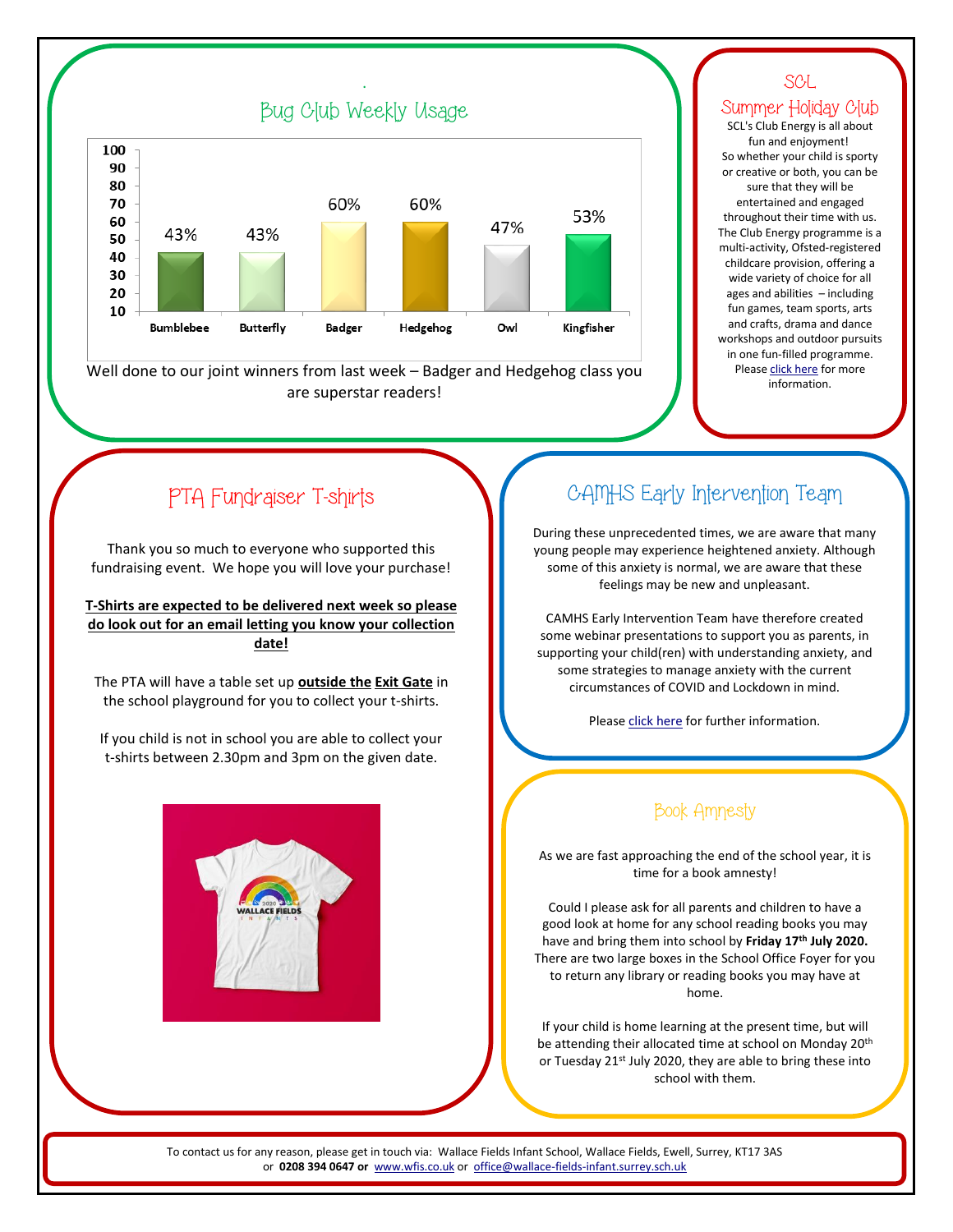

.

Well done to our joint winners from last week – Badger and Hedgehog class you are superstar readers!

## SCL Summer Holiday Club

SCL's Club Energy is all about fun and enjoyment! So whether your child is sporty or creative or both, you can be sure that they will be entertained and engaged throughout their time with us. The Club Energy programme is a multi-activity, Ofsted-registered childcare provision, offering a wide variety of choice for all ages and abilities – including fun games, team sports, arts and crafts, drama and dance workshops and outdoor pursuits in one fun-filled programme. Pleas[e click here](http://fluencycontent2-schoolwebsite.netdna-ssl.com/FileCluster/WallaceFields/MainFolder/documents/SCL-Flyers/SCL-Summer-2020---Wallace-Fields-Infant-School-1.pdf) for more information.

# PTA Fundraiser T-shirts

Thank you so much to everyone who supported this fundraising event. We hope you will love your purchase!

**T-Shirts are expected to be delivered next week so please do look out for an email letting you know your collection date!**

The PTA will have a table set up **outside the Exit Gate** in the school playground for you to collect your t-shirts.

If you child is not in school you are able to collect your t-shirts between 2.30pm and 3pm on the given date.



# CAMHS Early Intervention Team

During these unprecedented times, we are aware that many young people may experience heightened anxiety. Although some of this anxiety is normal, we are aware that these feelings may be new and unpleasant.

CAMHS Early Intervention Team have therefore created some webinar presentations to support you as parents, in supporting your child(ren) with understanding anxiety, and some strategies to manage anxiety with the current circumstances of COVID and Lockdown in mind.

Please [click here](http://fluencycontent2-schoolwebsite.netdna-ssl.com/FileCluster/WallaceFields/MainFolder/documents/Newsletters/Attachments-2019-20/100720/CAMHS-Early-Intervention-letter-to-parents-Parent-webinars-Anxiety-and-Transition-in-relation-to-Covid19-v1-24-June-2020.pdf) for further information.

## Book Amnesty

As we are fast approaching the end of the school year, it is time for a book amnesty!

Could I please ask for all parents and children to have a good look at home for any school reading books you may have and bring them into school by **Friday 17th July 2020.**  There are two large boxes in the School Office Foyer for you to return any library or reading books you may have at home.

If your child is home learning at the present time, but will be attending their allocated time at school on Monday 20th or Tuesday 21st July 2020, they are able to bring these into school with them.